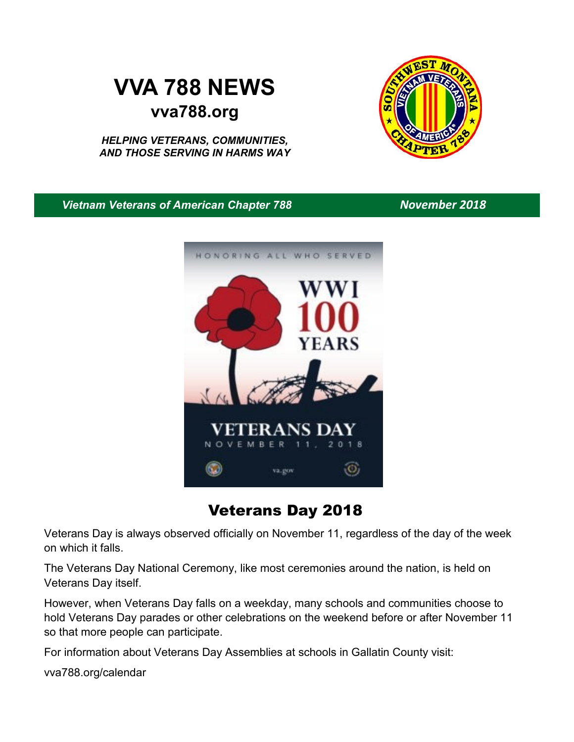# **VVA 788 NEWS vva788.org**

*HELPING VETERANS, COMMUNITIES, AND THOSE SERVING IN HARMS WAY*



*Vietnam Veterans of American Chapter 788 November 2018*



Veterans Day 2018

Veterans Day is always observed officially on November 11, regardless of the day of the week on which it falls.

The Veterans Day National Ceremony, like most ceremonies around the nation, is held on Veterans Day itself.

However, when Veterans Day falls on a weekday, many schools and communities choose to hold Veterans Day parades or other celebrations on the weekend before or after November 11 so that more people can participate.

For information about Veterans Day Assemblies at schools in Gallatin County visit:

vva788.org/calendar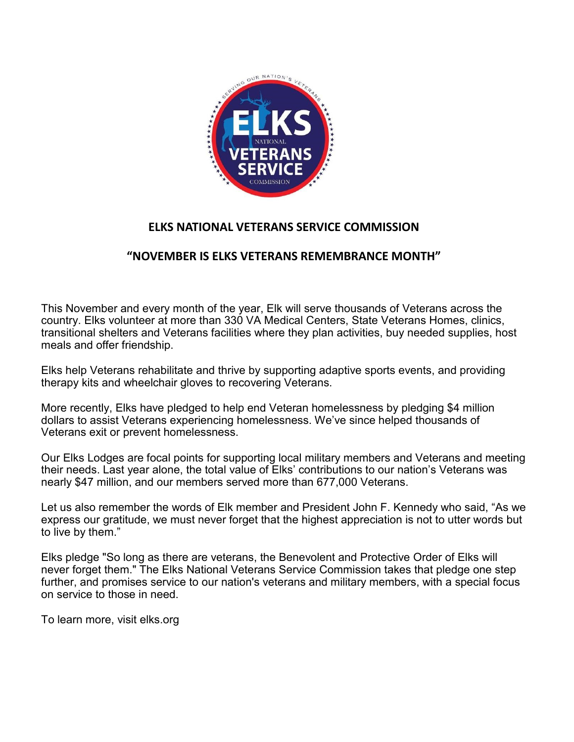

#### **ELKS NATIONAL VETERANS SERVICE COMMISSION**

### **"NOVEMBER IS ELKS VETERANS REMEMBRANCE MONTH"**

This November and every month of the year, Elk will serve thousands of Veterans across the country. Elks volunteer at more than 330 VA Medical Centers, State Veterans Homes, clinics, transitional shelters and Veterans facilities where they plan activities, buy needed supplies, host meals and offer friendship.

Elks help Veterans rehabilitate and thrive by supporting adaptive sports events, and providing therapy kits and wheelchair gloves to recovering Veterans.

More recently, Elks have pledged to help end Veteran homelessness by pledging \$4 million dollars to assist Veterans experiencing homelessness. We've since helped thousands of Veterans exit or prevent homelessness.

Our Elks Lodges are focal points for supporting local military members and Veterans and meeting their needs. Last year alone, the total value of Elks' contributions to our nation's Veterans was nearly \$47 million, and our members served more than 677,000 Veterans.

Let us also remember the words of Elk member and President John F. Kennedy who said, "As we express our gratitude, we must never forget that the highest appreciation is not to utter words but to live by them."

Elks pledge "So long as there are veterans, the Benevolent and Protective Order of Elks will never forget them." The Elks National Veterans Service Commission takes that pledge one step further, and promises service to our nation's veterans and military members, with a special focus on service to those in need.

To learn more, visit elks.org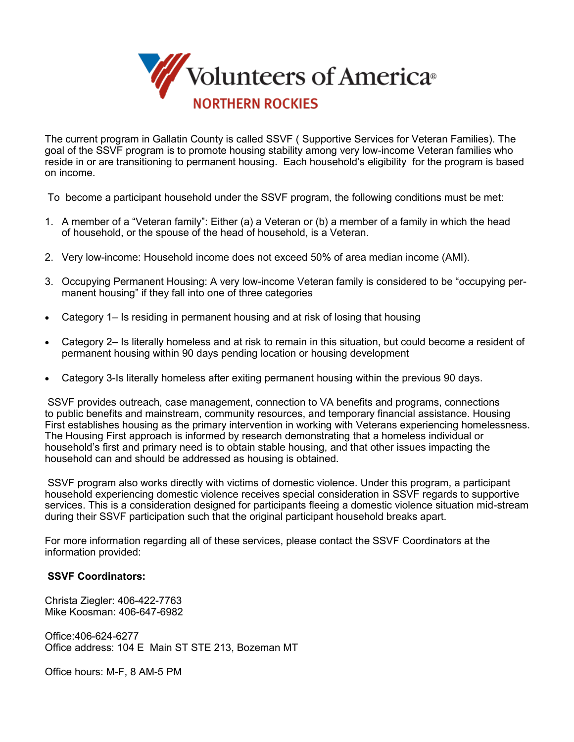

The current program in Gallatin County is called SSVF ( Supportive Services for Veteran Families). The goal of the SSVF program is to promote housing stability among very low-income Veteran families who reside in or are transitioning to permanent housing. Each household's eligibility for the program is based on income.

To become a participant household under the SSVF program, the following conditions must be met:

- 1. A member of a "Veteran family": Either (a) a Veteran or (b) a member of a family in which the head of household, or the spouse of the head of household, is a Veteran.
- 2. Very low-income: Household income does not exceed 50% of area median income (AMI).
- 3. Occupying Permanent Housing: A very low-income Veteran family is considered to be "occupying permanent housing" if they fall into one of three categories
- Category 1– Is residing in permanent housing and at risk of losing that housing
- Category 2– Is literally homeless and at risk to remain in this situation, but could become a resident of permanent housing within 90 days pending location or housing development
- Category 3-Is literally homeless after exiting permanent housing within the previous 90 days.

SSVF provides outreach, case management, connection to VA benefits and programs, connections to public benefits and mainstream, community resources, and temporary financial assistance. Housing First establishes housing as the primary intervention in working with Veterans experiencing homelessness. The Housing First approach is informed by research demonstrating that a homeless individual or household's first and primary need is to obtain stable housing, and that other issues impacting the household can and should be addressed as housing is obtained.

SSVF program also works directly with victims of domestic violence. Under this program, a participant household experiencing domestic violence receives special consideration in SSVF regards to supportive services. This is a consideration designed for participants fleeing a domestic violence situation mid-stream during their SSVF participation such that the original participant household breaks apart.

For more information regarding all of these services, please contact the SSVF Coordinators at the information provided:

#### **SSVF Coordinators:**

Christa Ziegler: 406-422-7763 Mike Koosman: 406-647-6982

Office:406-624-6277 Office address: 104 E Main ST STE 213, Bozeman MT

Office hours: M-F, 8 AM-5 PM